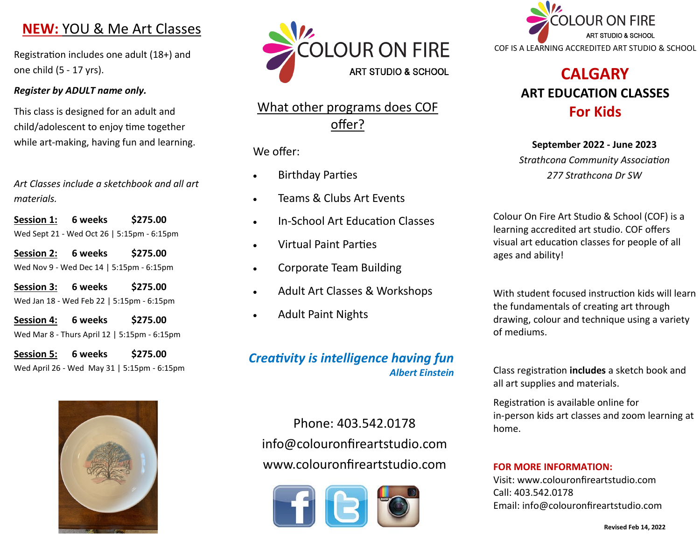# **NEW:** YOU & Me Art Classes

Registration includes one adult (18+) and one child (5 - 17 yrs).

#### *Register by ADULT name only.*

This class is designed for an adult and child/adolescent to enjoy time together while art-making, having fun and learning.

*Art Classes include a sketchbook and all art materials.*

**Session 1: 6 weeks \$275.00** Wed Sept 21 - Wed Oct 26 | 5:15pm - 6:15pm

**Session 2: 6 weeks \$275.00** Wed Nov 9 - Wed Dec 14 | 5:15pm - 6:15pm

**Session 3: 6 weeks \$275.00** Wed Jan 18 - Wed Feb 22 | 5:15pm - 6:15pm

**Session 4: 6 weeks \$275.00** Wed Mar 8 - Thurs April 12 | 5:15pm - 6:15pm

**Session 5: 6 weeks \$275.00** Wed April 26 - Wed May 31 | 5:15pm - 6:15pm





# What other programs does COF offer?

### We offer:

- Birthday Parties
- Teams & Clubs Art Events
- In-School Art Education Classes
- Virtual Paint Parties
- Corporate Team Building
- Adult Art Classes & Workshops
- Adult Paint Nights

## *Creativity is intelligence having fun Albert Einstein*

Phone: 403.542.0178 info@colouronfireartstudio.com www.colouronfireartstudio.com





# **CALGARY ART EDUCATION CLASSES For Kids**

**September 2022 - June 2023** *Strathcona Community Association 277 Strathcona Dr SW*

Colour On Fire Art Studio & School (COF) is a learning accredited art studio. COF offers visual art education classes for people of all ages and ability!

With student focused instruction kids will learn the fundamentals of creating art through drawing, colour and technique using a variety of mediums.

Class registration **includes** a sketch book and all art supplies and materials.

Registration is available online for in-person kids art classes and zoom learning at home.

#### **FOR MORE INFORMATION:**

Visit: www.colouronfireartstudio.com Call: 403.542.0178 Email: info@colouronfireartstudio.com